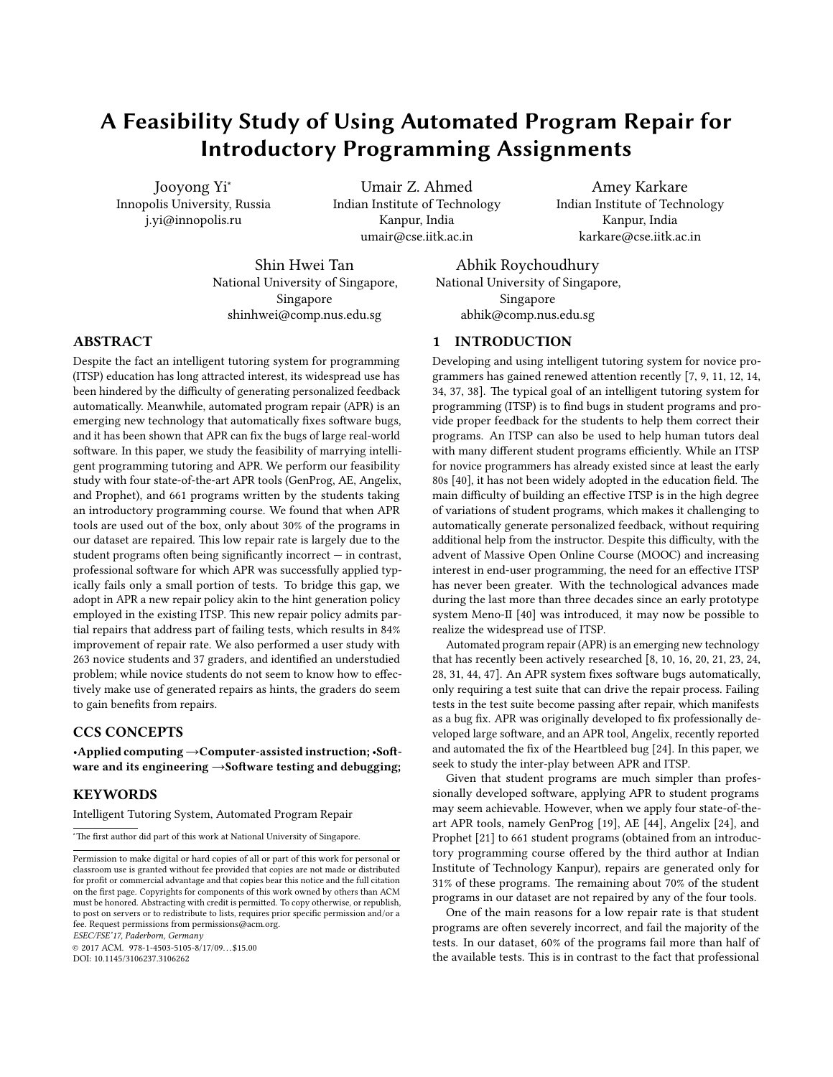# A Feasibility Study of Using Automated Program Repair for Introductory Programming Assignments

Jooyong Yi<sup>∗</sup> Innopolis University, Russia j.yi@innopolis.ru

Umair Z. Ahmed Indian Institute of Technology Kanpur, India umair@cse.iitk.ac.in

Amey Karkare Indian Institute of Technology Kanpur, India karkare@cse.iitk.ac.in

Shin Hwei Tan National University of Singapore, Singapore shinhwei@comp.nus.edu.sg

Abhik Roychoudhury National University of Singapore, Singapore abhik@comp.nus.edu.sg

#### ABSTRACT

Despite the fact an intelligent tutoring system for programming (ITSP) education has long attracted interest, its widespread use has been hindered by the difficulty of generating personalized feedback automatically. Meanwhile, automated program repair (APR) is an emerging new technology that automatically fixes software bugs, and it has been shown that APR can fix the bugs of large real-world software. In this paper, we study the feasibility of marrying intelligent programming tutoring and APR. We perform our feasibility study with four state-of-the-art APR tools (GenProg, AE, Angelix, and Prophet), and 661 programs written by the students taking an introductory programming course. We found that when APR tools are used out of the box, only about 30% of the programs in our dataset are repaired. This low repair rate is largely due to the student programs often being significantly incorrect  $-$  in contrast, professional software for which APR was successfully applied typically fails only a small portion of tests. To bridge this gap, we adopt in APR a new repair policy akin to the hint generation policy employed in the existing ITSP. This new repair policy admits partial repairs that address part of failing tests, which results in 84% improvement of repair rate. We also performed a user study with 263 novice students and 37 graders, and identified an understudied problem; while novice students do not seem to know how to effectively make use of generated repairs as hints, the graders do seem to gain benefits from repairs.

# CCS CONCEPTS

•Applied computing → Computer-assisted instruction; •Software and its engineering  $\rightarrow$ Software testing and debugging;

## **KEYWORDS**

Intelligent Tutoring System, Automated Program Repair

\*The first author did part of this work at National University of Singapore.

ESEC/FSE'17, Paderborn, Germany

© 2017 ACM. 978-1-4503-5105-8/17/09. . . \$15.00 DOI: 10.1145/3106237.3106262

# 1 INTRODUCTION

Developing and using intelligent tutoring system for novice programmers has gained renewed attention recently  $[7, 9, 11, 12, 14,$  $[7, 9, 11, 12, 14,$  $[7, 9, 11, 12, 14,$  $[7, 9, 11, 12, 14,$  $[7, 9, 11, 12, 14,$  $[7, 9, 11, 12, 14,$  $[7, 9, 11, 12, 14,$  $[7, 9, 11, 12, 14,$  $[7, 9, 11, 12, 14,$ [34,](#page-11-0) [37,](#page-11-1) [38\]](#page-11-2). The typical goal of an intelligent tutoring system for programming (ITSP) is to find bugs in student programs and provide proper feedback for the students to help them correct their programs. An ITSP can also be used to help human tutors deal with many different student programs efficiently. While an ITSP for novice programmers has already existed since at least the early 80s [\[40\]](#page-11-3), it has not been widely adopted in the education field. The main difficulty of building an effective ITSP is in the high degree of variations of student programs, which makes it challenging to automatically generate personalized feedback, without requiring additional help from the instructor. Despite this difficulty, with the advent of Massive Open Online Course (MOOC) and increasing interest in end-user programming, the need for an effective ITSP has never been greater. With the technological advances made during the last more than three decades since an early prototype system Meno-II [\[40\]](#page-11-3) was introduced, it may now be possible to realize the widespread use of ITSP.

Automated program repair (APR) is an emerging new technology that has recently been actively researched [\[8,](#page-10-5) [10,](#page-10-6) [16,](#page-10-7) [20,](#page-10-8) [21,](#page-10-9) [23,](#page-10-10) [24,](#page-10-11) [28,](#page-10-12) [31,](#page-11-4) [44,](#page-11-5) [47\]](#page-11-6). An APR system fixes software bugs automatically, only requiring a test suite that can drive the repair process. Failing tests in the test suite become passing after repair, which manifests as a bug fix. APR was originally developed to fix professionally developed large software, and an APR tool, Angelix, recently reported and automated the fix of the Heartbleed bug [\[24\]](#page-10-11). In this paper, we seek to study the inter-play between APR and ITSP.

Given that student programs are much simpler than professionally developed software, applying APR to student programs may seem achievable. However, when we apply four state-of-theart APR tools, namely GenProg [\[19\]](#page-10-13), AE [\[44\]](#page-11-5), Angelix [\[24\]](#page-10-11), and Prophet [\[21\]](#page-10-9) to 661 student programs (obtained from an introductory programming course offered by the third author at Indian Institute of Technology Kanpur), repairs are generated only for  $31\%$  of these programs. The remaining about 70% of the student programs in our dataset are not repaired by any of the four tools.

One of the main reasons for a low repair rate is that student programs are often severely incorrect, and fail the majority of the tests. In our dataset, 60% of the programs fail more than half of the available tests. This is in contrast to the fact that professional

Permission to make digital or hard copies of all or part of this work for personal or classroom use is granted without fee provided that copies are not made or distributed for profit or commercial advantage and that copies bear this notice and the full citation on the first page. Copyrights for components of this work owned by others than ACM  ${\rm must}$  be honored. Abstracting with credit is permitted. To copy otherwise, or republish, to post on servers or to redistribute to lists, requires prior specific permission and/or a fee. Request permissions from permissions@acm.org.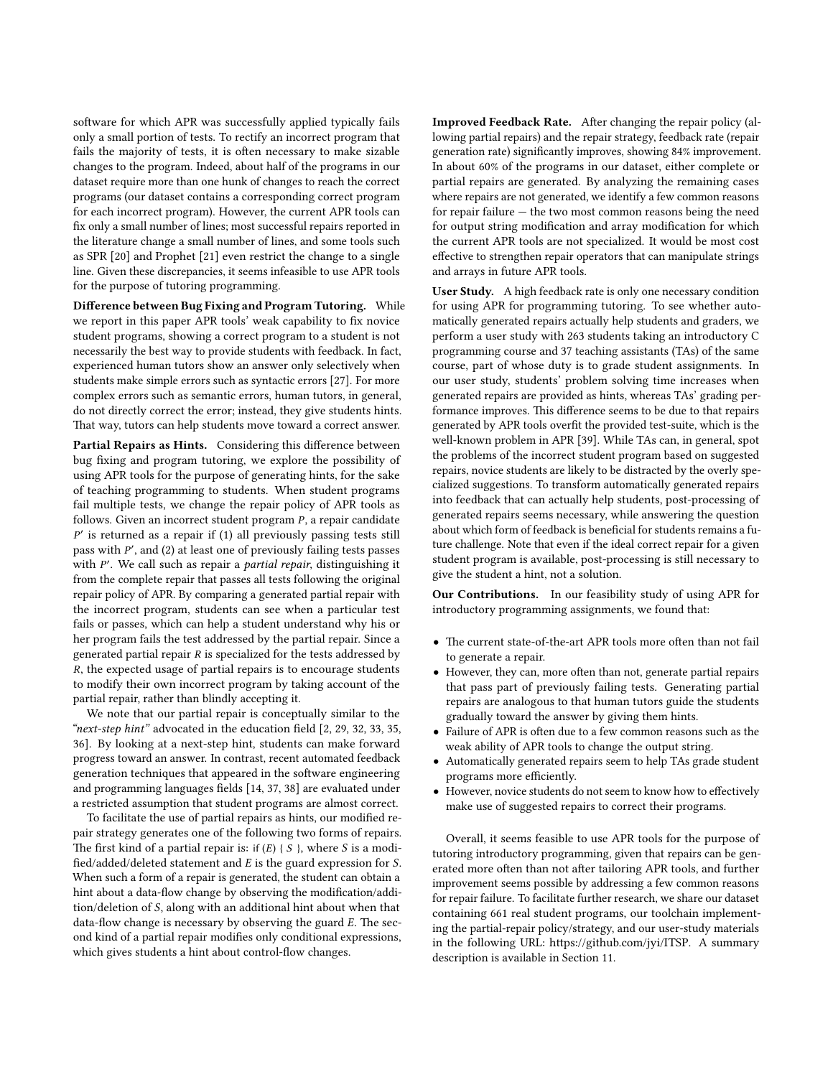software for which APR was successfully applied typically fails only a small portion of tests. To rectify an incorrect program that fails the majority of tests, it is often necessary to make sizable changes to the program. Indeed, about half of the programs in our dataset require more than one hunk of changes to reach the correct programs (our dataset contains a corresponding correct program for each incorrect program). However, the current APR tools can x only a small number of lines; most successful repairs reported in the literature change a small number of lines, and some tools such as SPR [\[20\]](#page-10-8) and Prophet [\[21\]](#page-10-9) even restrict the change to a single line. Given these discrepancies, it seems infeasible to use APR tools for the purpose of tutoring programming.

Difference between Bug Fixing and Program Tutoring. While we report in this paper APR tools' weak capability to fix novice student programs, showing a correct program to a student is not necessarily the best way to provide students with feedback. In fact, experienced human tutors show an answer only selectively when students make simple errors such as syntactic errors [\[27\]](#page-10-14). For more complex errors such as semantic errors, human tutors, in general, do not directly correct the error; instead, they give students hints. That way, tutors can help students move toward a correct answer.

Partial Repairs as Hints. Considering this difference between bug fixing and program tutoring, we explore the possibility of using APR tools for the purpose of generating hints, for the sake of teaching programming to students. When student programs fail multiple tests, we change the repair policy of APR tools as follows. Given an incorrect student program P, a repair candidate  $P'$  is returned as a repair if (1) all previously passing tests still pass with P', and (2) at least one of previously failing tests passes with P'. We call such as repair a *partial repair*, distinguishing it from the complete repair that passes all tests following the original repair policy of APR. By comparing a generated partial repair with the incorrect program, students can see when a particular test fails or passes, which can help a student understand why his or her program fails the test addressed by the partial repair. Since a generated partial repair R is specialized for the tests addressed by R, the expected usage of partial repairs is to encourage students to modify their own incorrect program by taking account of the partial repair, rather than blindly accepting it.

We note that our partial repair is conceptually similar to the "next-step hint" advocated in the education field  $[2, 29, 32, 33, 35,$  $[2, 29, 32, 33, 35,$  $[2, 29, 32, 33, 35,$  $[2, 29, 32, 33, 35,$  $[2, 29, 32, 33, 35,$  $[2, 29, 32, 33, 35,$  $[2, 29, 32, 33, 35,$  $[2, 29, 32, 33, 35,$  $[2, 29, 32, 33, 35,$ [36\]](#page-11-10). By looking at a next-step hint, students can make forward progress toward an answer. In contrast, recent automated feedback generation techniques that appeared in the software engineering and programming languages fields [\[14,](#page-10-4) [37,](#page-11-1) [38\]](#page-11-2) are evaluated under a restricted assumption that student programs are almost correct.

To facilitate the use of partial repairs as hints, our modified repair strategy generates one of the following two forms of repairs. The first kind of a partial repair is: if  $(E)$  { S }, where S is a modified/added/deleted statement and  $E$  is the guard expression for  $S$ . When such a form of a repair is generated, the student can obtain a hint about a data-flow change by observing the modification/addition/deletion of S, along with an additional hint about when that data-flow change is necessary by observing the guard  $E$ . The second kind of a partial repair modifies only conditional expressions, which gives students a hint about control-flow changes.

Improved Feedback Rate. After changing the repair policy (allowing partial repairs) and the repair strategy, feedback rate (repair generation rate) significantly improves, showing 84% improvement. In about 60% of the programs in our dataset, either complete or partial repairs are generated. By analyzing the remaining cases where repairs are not generated, we identify a few common reasons for repair failure — the two most common reasons being the need for output string modification and array modification for which the current APR tools are not specialized. It would be most cost effective to strengthen repair operators that can manipulate strings and arrays in future APR tools.

User Study. A high feedback rate is only one necessary condition for using APR for programming tutoring. To see whether automatically generated repairs actually help students and graders, we perform a user study with 263 students taking an introductory C programming course and 37 teaching assistants (TAs) of the same course, part of whose duty is to grade student assignments. In our user study, students' problem solving time increases when generated repairs are provided as hints, whereas TAs' grading performance improves. This difference seems to be due to that repairs generated by APR tools overfit the provided test-suite, which is the well-known problem in APR [\[39\]](#page-11-11). While TAs can, in general, spot the problems of the incorrect student program based on suggested repairs, novice students are likely to be distracted by the overly specialized suggestions. To transform automatically generated repairs into feedback that can actually help students, post-processing of generated repairs seems necessary, while answering the question about which form of feedback is beneficial for students remains a future challenge. Note that even if the ideal correct repair for a given student program is available, post-processing is still necessary to give the student a hint, not a solution.

Our Contributions. In our feasibility study of using APR for introductory programming assignments, we found that:

- The current state-of-the-art APR tools more often than not fail to generate a repair.
- However, they can, more often than not, generate partial repairs that pass part of previously failing tests. Generating partial repairs are analogous to that human tutors guide the students gradually toward the answer by giving them hints.
- $\bullet$  Failure of APR is often due to a few common reasons such as the weak ability of APR tools to change the output string.
- Automatically generated repairs seem to help TAs grade student programs more efficiently.
- However, novice students do not seem to know how to effectively make use of suggested repairs to correct their programs.

Overall, it seems feasible to use APR tools for the purpose of tutoring introductory programming, given that repairs can be generated more often than not after tailoring APR tools, and further improvement seems possible by addressing a few common reasons for repair failure. To facilitate further research, we share our dataset containing 661 real student programs, our toolchain implementing the partial-repair policy/strategy, and our user-study materials in the following URL: https://github.com/jyi/ITSP. A summary description is available in Section [11.](#page-10-17)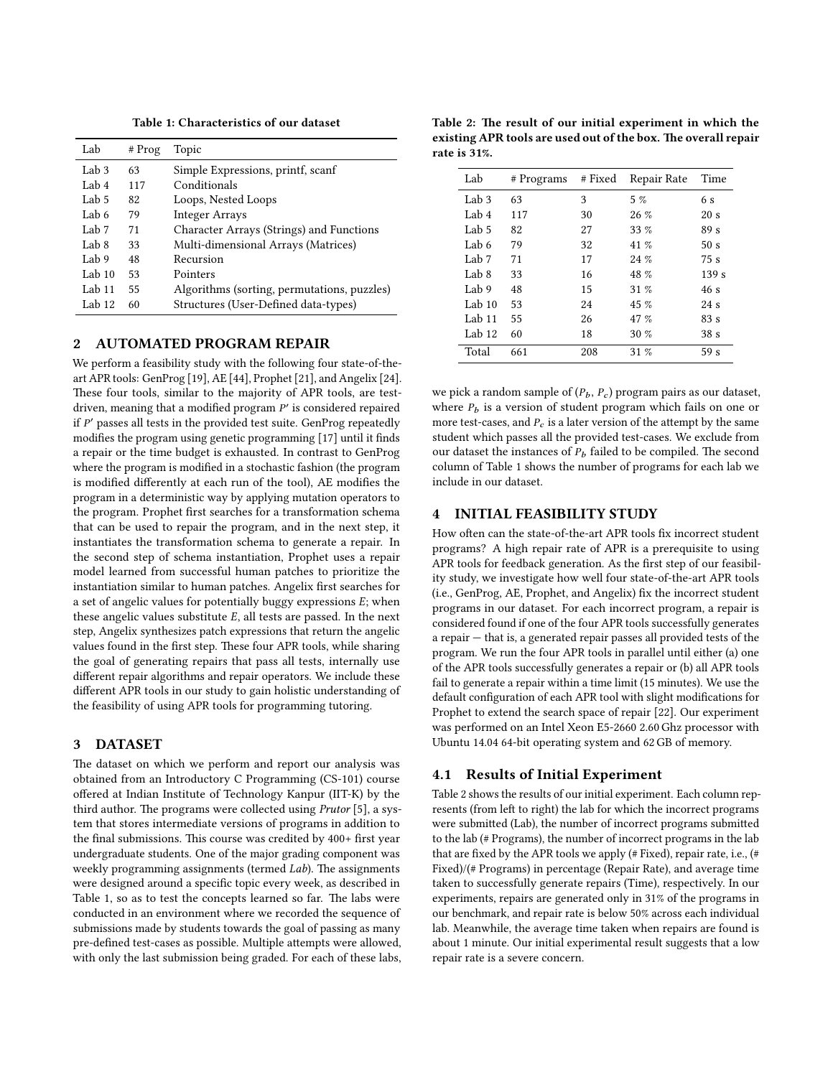Table 1: Characteristics of our dataset

<span id="page-2-0"></span>

| Lab              | $#$ Prog | Topic                                       |
|------------------|----------|---------------------------------------------|
| Lab <sub>3</sub> | 63       | Simple Expressions, printf, scanf           |
| Lab 4            | 117      | Conditionals                                |
| Lab 5            | 82       | Loops, Nested Loops                         |
| Lab 6            | 79       | <b>Integer Arrays</b>                       |
| Lab 7            | 71       | Character Arrays (Strings) and Functions    |
| Lab 8            | 33       | Multi-dimensional Arrays (Matrices)         |
| Lab 9            | 48       | Recursion                                   |
| Lab $10$         | 53       | Pointers                                    |
| Lab $11$         | 55       | Algorithms (sorting, permutations, puzzles) |
| Lab $12$         | 60       | Structures (User-Defined data-types)        |

#### 2 AUTOMATED PROGRAM REPAIR

We perform a feasibility study with the following four state-of-theart APR tools: GenProg [\[19\]](#page-10-13), AE [\[44\]](#page-11-5), Prophet [\[21\]](#page-10-9), and Angelix [\[24\]](#page-10-11). These four tools, similar to the majority of APR tools, are testdriven, meaning that a modified program  $P'$  is considered repaired if P' passes all tests in the provided test suite. GenProg repeatedly modifies the program using genetic programming  $[17]$  until it finds a repair or the time budget is exhausted. In contrast to GenProg where the program is modified in a stochastic fashion (the program is modified differently at each run of the tool), AE modifies the program in a deterministic way by applying mutation operators to the program. Prophet first searches for a transformation schema that can be used to repair the program, and in the next step, it instantiates the transformation schema to generate a repair. In the second step of schema instantiation, Prophet uses a repair model learned from successful human patches to prioritize the instantiation similar to human patches. Angelix first searches for a set of angelic values for potentially buggy expressions E; when these angelic values substitute  $E$ , all tests are passed. In the next step, Angelix synthesizes patch expressions that return the angelic values found in the first step. These four APR tools, while sharing the goal of generating repairs that pass all tests, internally use different repair algorithms and repair operators. We include these different APR tools in our study to gain holistic understanding of the feasibility of using APR tools for programming tutoring.

#### <span id="page-2-3"></span>3 DATASET

The dataset on which we perform and report our analysis was obtained from an Introductory C Programming (CS-101) course offered at Indian Institute of Technology Kanpur (IIT-K) by the third author. The programs were collected using Prutor [\[5\]](#page-10-19), a system that stores intermediate versions of programs in addition to the final submissions. This course was credited by 400+ first year undergraduate students. One of the major grading component was weekly programming assignments (termed Lab). The assignments were designed around a specific topic every week, as described in Table [1,](#page-2-0) so as to test the concepts learned so far. The labs were conducted in an environment where we recorded the sequence of submissions made by students towards the goal of passing as many pre-defined test-cases as possible. Multiple attempts were allowed, with only the last submission being graded. For each of these labs,

<span id="page-2-1"></span>Table 2: The result of our initial experiment in which the existing APR tools are used out of the box. The overall repair rate is 31%.

| Lab              | # Programs | # Fixed | Repair Rate | Time             |
|------------------|------------|---------|-------------|------------------|
| Lab <sub>3</sub> | 63         | 3       | 5%          | 6 s              |
| Lab 4            | 117        | 30      | $26\%$      | 20 s             |
| Lab $5$          | 82         | 27      | $33\%$      | 89 <sub>s</sub>  |
| Lab 6            | 79         | 32      | 41 $\%$     | 50 <sub>s</sub>  |
| Lab 7            | 71         | 17      | 24%         | 75s              |
| $L$ ab $8$       | 33         | 16      | 48 %        | 139 <sub>s</sub> |
| Lab 9            | 48         | 15      | 31%         | 46s              |
| Lab $10$         | 53         | 24      | 45 %        | 24s              |
| Lab 11           | 55         | 26      | 47 %        | 83 s             |
| Lab $12$         | 60         | 18      | 30%         | 38 <sub>s</sub>  |
| Total            | 661        | 208     | 31%         | 59 <sub>s</sub>  |

we pick a random sample of  $(P_b, P_c)$  program pairs as our dataset, where  $P_b$  is a version of student program which fails on one or more test-cases, and  $P_c$  is a later version of the attempt by the same student which passes all the provided test-cases. We exclude from our dataset the instances of  $P<sub>b</sub>$  failed to be compiled. The second column of Table [1](#page-2-0) shows the number of programs for each lab we include in our dataset.

# <span id="page-2-2"></span>4 INITIAL FEASIBILITY STUDY

How often can the state-of-the-art APR tools fix incorrect student programs? A high repair rate of APR is a prerequisite to using APR tools for feedback generation. As the first step of our feasibility study, we investigate how well four state-of-the-art APR tools  $(i.e., GenProg, AE, Prophet, and Angelix) fix the incorrect student$ programs in our dataset. For each incorrect program, a repair is considered found if one of the four APR tools successfully generates a repair — that is, a generated repair passes all provided tests of the program. We run the four APR tools in parallel until either (a) one of the APR tools successfully generates a repair or (b) all APR tools fail to generate a repair within a time limit (15 minutes). We use the default configuration of each APR tool with slight modifications for Prophet to extend the search space of repair [\[22\]](#page-10-20). Our experiment was performed on an Intel Xeon E5-2660 2.60 Ghz processor with Ubuntu 14.04 64-bit operating system and 62 GB of memory.

#### 4.1 Results of Initial Experiment

Table [2](#page-2-1) shows the results of our initial experiment. Each column represents (from left to right) the lab for which the incorrect programs were submitted (Lab), the number of incorrect programs submitted to the lab (# Programs), the number of incorrect programs in the lab that are fixed by the APR tools we apply (# Fixed), repair rate, i.e., (# Fixed)/(# Programs) in percentage (Repair Rate), and average time taken to successfully generate repairs (Time), respectively. In our experiments, repairs are generated only in 31% of the programs in our benchmark, and repair rate is below 50% across each individual lab. Meanwhile, the average time taken when repairs are found is about 1 minute. Our initial experimental result suggests that a low repair rate is a severe concern.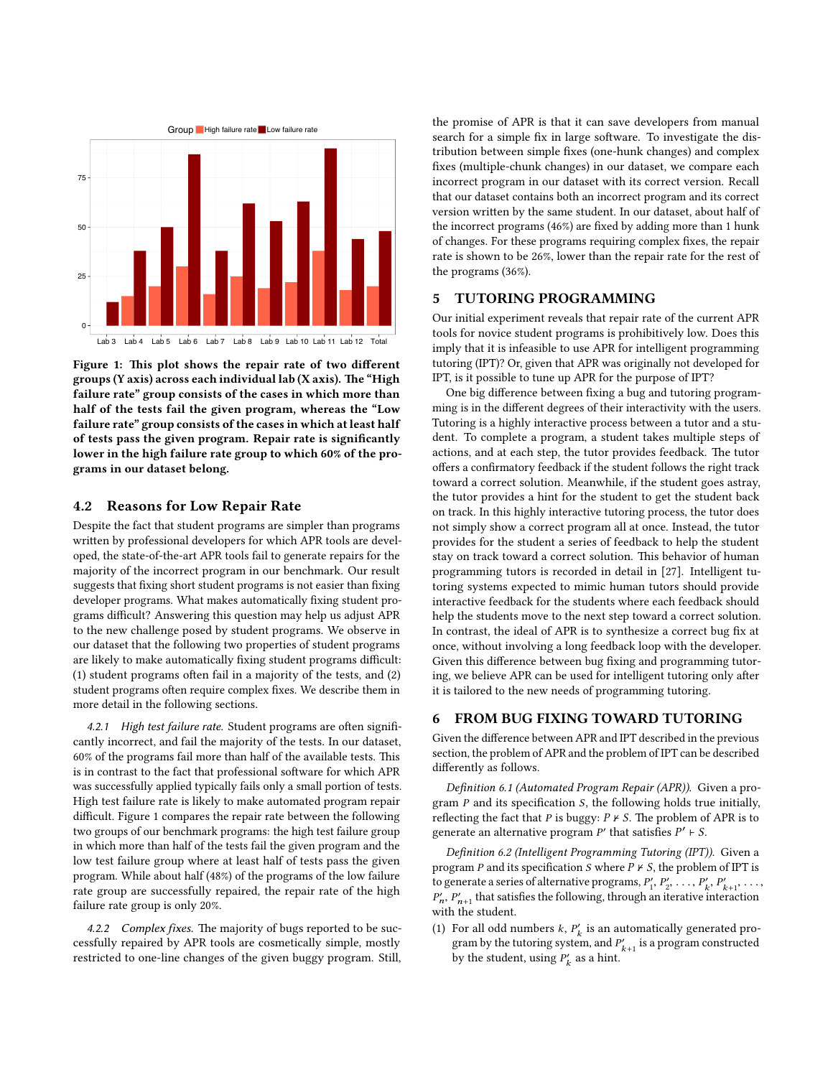<span id="page-3-0"></span>

Figure 1: This plot shows the repair rate of two different groups (Y axis) across each individual lab (X axis). The "High failure rate" group consists of the cases in which more than half of the tests fail the given program, whereas the "Low failure rate" group consists of the cases in which at least half of tests pass the given program. Repair rate is significantly lower in the high failure rate group to which 60% of the programs in our dataset belong.

#### 4.2 Reasons for Low Repair Rate

Despite the fact that student programs are simpler than programs written by professional developers for which APR tools are developed, the state-of-the-art APR tools fail to generate repairs for the majority of the incorrect program in our benchmark. Our result suggests that fixing short student programs is not easier than fixing developer programs. What makes automatically fixing student programs difficult? Answering this question may help us adjust APR to the new challenge posed by student programs. We observe in our dataset that the following two properties of student programs are likely to make automatically fixing student programs difficult:  $(1)$  student programs often fail in a majority of the tests, and  $(2)$ student programs often require complex fixes. We describe them in more detail in the following sections.

4.2.1 High test failure rate. Student programs are often significantly incorrect, and fail the majority of the tests. In our dataset,  $60\%$  of the programs fail more than half of the available tests. This is in contrast to the fact that professional software for which APR was successfully applied typically fails only a small portion of tests. High test failure rate is likely to make automated program repair difficult. Figure [1](#page-3-0) compares the repair rate between the following two groups of our benchmark programs: the high test failure group in which more than half of the tests fail the given program and the low test failure group where at least half of tests pass the given program. While about half (48%) of the programs of the low failure rate group are successfully repaired, the repair rate of the high failure rate group is only 20%.

4.2.2 Complex fixes. The majority of bugs reported to be successfully repaired by APR tools are cosmetically simple, mostly restricted to one-line changes of the given buggy program. Still,

the promise of APR is that it can save developers from manual search for a simple fix in large software. To investigate the distribution between simple fixes (one-hunk changes) and complex xes (multiple-chunk changes) in our dataset, we compare each incorrect program in our dataset with its correct version. Recall that our dataset contains both an incorrect program and its correct version written by the same student. In our dataset, about half of the incorrect programs  $(46%)$  are fixed by adding more than 1 hunk of changes. For these programs requiring complex fixes, the repair rate is shown to be 26%, lower than the repair rate for the rest of the programs (36%).

# 5 TUTORING PROGRAMMING

Our initial experiment reveals that repair rate of the current APR tools for novice student programs is prohibitively low. Does this imply that it is infeasible to use APR for intelligent programming tutoring (IPT)? Or, given that APR was originally not developed for IPT, is it possible to tune up APR for the purpose of IPT?

One big difference between fixing a bug and tutoring programming is in the different degrees of their interactivity with the users. Tutoring is a highly interactive process between a tutor and a student. To complete a program, a student takes multiple steps of actions, and at each step, the tutor provides feedback. The tutor offers a confirmatory feedback if the student follows the right track toward a correct solution. Meanwhile, if the student goes astray, the tutor provides a hint for the student to get the student back on track. In this highly interactive tutoring process, the tutor does not simply show a correct program all at once. Instead, the tutor provides for the student a series of feedback to help the student stay on track toward a correct solution. This behavior of human programming tutors is recorded in detail in [\[27\]](#page-10-14). Intelligent tutoring systems expected to mimic human tutors should provide interactive feedback for the students where each feedback should help the students move to the next step toward a correct solution. In contrast, the ideal of APR is to synthesize a correct bug fix at once, without involving a long feedback loop with the developer. Given this difference between bug fixing and programming tutoring, we believe APR can be used for intelligent tutoring only after it is tailored to the new needs of programming tutoring.

# 6 FROM BUG FIXING TOWARD TUTORING

Given the difference between APR and IPT described in the previous section, the problem of APR and the problem of IPT can be described differently as follows.

Definition 6.1 (Automated Program Repair (APR)). Given a program  $P$  and its specification  $S$ , the following holds true initially, reflecting the fact that  $P$  is buggy:  $P \nvdash S$ . The problem of APR is to generate an alternative program  $P'$  that satisfies  $P' \vdash S$ .

<span id="page-3-1"></span>Definition 6.2 (Intelligent Programming Tutoring (IPT)). Given a program P and its specification S where  $P \nvdash S$ , the problem of IPT is to generate a series of alternative programs,  $P'_1, P'_2, \ldots, P'_k, P'_{k+1}$  $P'_n$ ,  $P'_{n+1}$  that satisfies the following, through an iterative interaction with the student.

(1) For all odd numbers  $k$ ,  $P'_{k}$  is an automatically generated program by the tutoring system, and  $P'_{k+1}$  is a program constructed by the student, using  $P'_k$  as a hint.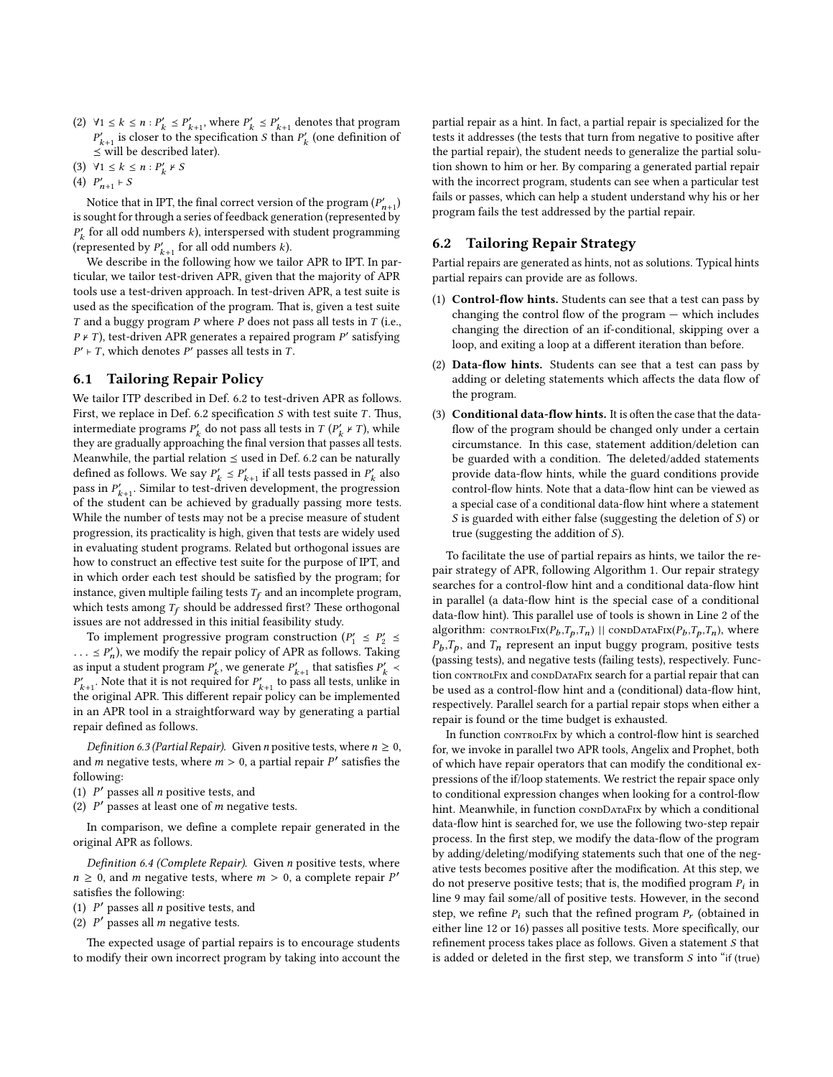- (2)  $\forall 1 \leq k \leq n : P'_{k+1} \leq P'_{k+1}$ , where  $P'_{k} \leq P'_{k+1}$  denotes that program  $P'_{k+1}$  is closer to the specification S than  $P'_{k}$  (one definition of  $\le$  will be described later).
- (3)  $\forall 1 \leq k \leq n : P'_k \neq S$
- (4)  $P'_{n+1} \vdash S$

Notice that in IPT, the final correct version of the program  $(P'_{n+1})$ is sought for through a series of feedback generation (represented by  $P'_k$  for all odd numbers  $k$  ), interspersed with student programming (represented by  $P'_{k+1}$  for all odd numbers k).

We describe in the following how we tailor APR to IPT. In particular, we tailor test-driven APR, given that the majority of APR tools use a test-driven approach. In test-driven APR, a test suite is used as the specification of the program. That is, given a test suite  $T$  and a buggy program  $P$  where  $P$  does not pass all tests in  $T$  (i.e.,  $P \nmid T$ ), test-driven APR generates a repaired program  $P'$  satisfying  $P' \vdash T$ , which denotes P' passes all tests in T.

## <span id="page-4-0"></span>6.1 Tailoring Repair Policy

We tailor ITP described in Def. [6.2](#page-3-1) to test-driven APR as follows. First, we replace in Def. [6.2](#page-3-1) specification  $S$  with test suite  $T$ . Thus, intermediate programs  $P'_k$  do not pass all tests in  $T(P'_k \nmid T)$ , while they are gradually approaching the final version that passes all tests. Meanwhile, the partial relation  $\leq$  used in Def. [6.2](#page-3-1) can be naturally defined as follows. We say  $P'_k \leq P'_{k+1}$  if all tests passed in  $P'_k$  also pass in  $P'_{k+1}$ . Similar to test-driven development, the progression of the student can be achieved by gradually passing more tests. While the number of tests may not be a precise measure of student progression, its practicality is high, given that tests are widely used in evaluating student programs. Related but orthogonal issues are how to construct an effective test suite for the purpose of IPT, and in which order each test should be satisfied by the program; for instance, given multiple failing tests  $T_f$  and an incomplete program, which tests among  $T_f$  should be addressed first? These orthogonal issues are not addressed in this initial feasibility study.

To implement progressive program construction  $(P'_1 \leq P'_2 \leq$  $\ldots \leq P'_n$ , we modify the repair policy of APR as follows. Taking as input a student program  $P'_k$ , we generate  $P'_{k+1}$  that satisfies  $P'_k \prec$  $P'_{k+1}$ . Note that it is not required for  $P'_{k+1}$  to pass all tests, unlike in the original APR. This different repair policy can be implemented in an APR tool in a straightforward way by generating a partial repair defined as follows.

Definition 6.3 (Partial Repair). Given n positive tests, where  $n \geq 0$ , and *m* negative tests, where  $m > 0$ , a partial repair  $P'$  satisfies the following: following:

- (1)  $P'$  passes all *n* positive tests, and<br>(2)  $P'$  passes at least one of *m* peopt
- (2)  $P'$  passes at least one of m negative tests.

In comparison, we define a complete repair generated in the original APR as follows.

Definition 6.4 (Complete Repair). Given  $n$  positive tests, where  $n \ge 0$ , and *m* negative tests, where  $m > 0$ , a complete repair P' satisfies the following:

- (1)  $P'$  passes all *n* positive tests, and<br>(2)  $P'$  passes all *m* persitive tests
- (2)  $P'$  passes all m negative tests.

The expected usage of partial repairs is to encourage students to modify their own incorrect program by taking into account the partial repair as a hint. In fact, a partial repair is specialized for the tests it addresses (the tests that turn from negative to positive after the partial repair), the student needs to generalize the partial solution shown to him or her. By comparing a generated partial repair with the incorrect program, students can see when a particular test fails or passes, which can help a student understand why his or her program fails the test addressed by the partial repair.

# <span id="page-4-1"></span>6.2 Tailoring Repair Strategy

Partial repairs are generated as hints, not as solutions. Typical hints partial repairs can provide are as follows.

- (1) Control-flow hints. Students can see that a test can pass by changing the control flow of the program  $-$  which includes changing the direction of an if-conditional, skipping over a loop, and exiting a loop at a different iteration than before.
- (2) Data-flow hints. Students can see that a test can pass by adding or deleting statements which affects the data flow of the program.
- (3) Conditional data-flow hints. It is often the case that the dataflow of the program should be changed only under a certain circumstance. In this case, statement addition/deletion can be guarded with a condition. The deleted/added statements provide data-flow hints, while the guard conditions provide control-flow hints. Note that a data-flow hint can be viewed as a special case of a conditional data-flow hint where a statement  $S$  is guarded with either false (suggesting the deletion of  $S)$  or true (suggesting the addition of S).

To facilitate the use of partial repairs as hints, we tailor the repair strategy of APR, following Algorithm [1.](#page-5-0) Our repair strategy searches for a control-flow hint and a conditional data-flow hint in parallel (a data-flow hint is the special case of a conditional data-flow hint). This parallel use of tools is shown in Line 2 of the algorithm:  $\text{convract}(\mathcal{P}_b, \mathcal{T}_p, \mathcal{T}_n)$  ||  $\text{convDATAFix}(\mathcal{P}_b, \mathcal{T}_p, \mathcal{T}_n)$ , where  $r_b$ ,  $i_p$ , and  $i_n$  represent an input buggy program, positive tests<br>(passing tests), and negative tests (failing tests), respectively. Func- $P_h, T_p$ , and  $T_n$  represent an input buggy program, positive tests tion controlFix and condDataFix search for a partial repair that can be used as a control-flow hint and a (conditional) data-flow hint, respectively. Parallel search for a partial repair stops when either a repair is found or the time budget is exhausted.

In function controlFix by which a control-flow hint is searched for, we invoke in parallel two APR tools, Angelix and Prophet, both of which have repair operators that can modify the conditional expressions of the if/loop statements. We restrict the repair space only to conditional expression changes when looking for a control-flow hint. Meanwhile, in function condDATAFIx by which a conditional data-flow hint is searched for, we use the following two-step repair process. In the first step, we modify the data-flow of the program by adding/deleting/modifying statements such that one of the negative tests becomes positive after the modification. At this step, we do not preserve positive tests; that is, the modified program  $P_i$  in line 9 may fail some/all of positive tests. However, in the second step, we refine  $P_i$  such that the refined program  $P_r$  (obtained in either line 12 or 16) passes all positive tests. More specifically, our refinement process takes place as follows. Given a statement  $S$  that is added or deleted in the first step, we transform  $S$  into "if (true)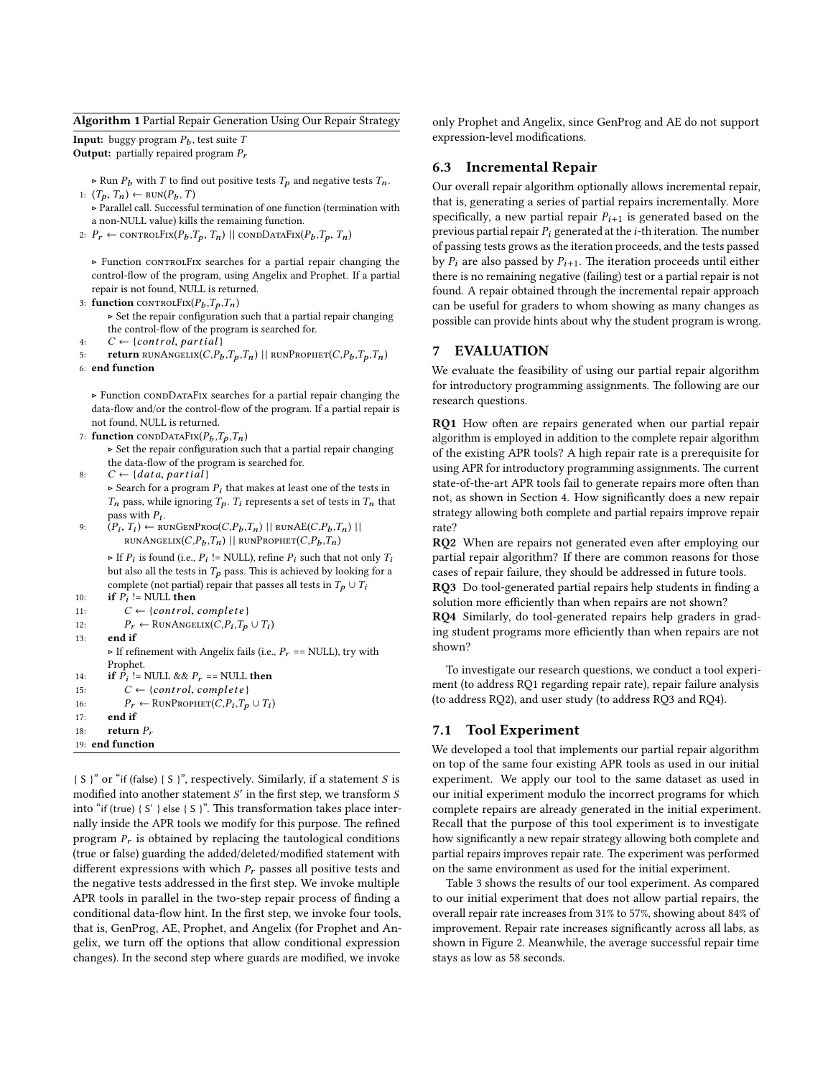<span id="page-5-0"></span>Algorithm 1 Partial Repair Generation Using Our Repair Strategy

**Input:** buggy program  $P_b$ , test suite T **Output:** partially repaired program  $P_r$ 

 $\triangleright$  Run  $P_b$  with T to find out positive tests  $T_p$  and negative tests  $T_n$ . 1:  $(T_p, T_n)$  ← RUN $(P_p, T)$ 

. Parallel call. Successful termination of one function (termination with a non-NULL value) kills the remaining function.

2:  $P_r \leftarrow \text{CONTROLFix}(P_b, T_p, T_n)$  || condDataFix $(P_b, T_p, T_n)$ 

. Function controlFix searches for a partial repair changing the control-flow of the program, using Angelix and Prophet. If a partial repair is not found, NULL is returned.

3: function CONTROLFIX $(P_b, T_p, T_n)$ 

 $\triangleright$  Set the repair configuration such that a partial repair changing the control-flow of the program is searched for.

4:  $C \leftarrow \{control, partial\}$ <br>5: **return** RUNANGELIX(*C*.P<sub>b</sub>

return RUNANGELIX $(C, P_b, T_a, T_n)$  || RUNPROPHET $(C, P_b, T_a, T_n)$ 

6: end function

 $\triangleright$  Function CONDDATAFIX searches for a partial repair changing the data-flow and/or the control-flow of the program. If a partial repair is not found, NULL is returned.

7: function CONDDATAFIX $(P_b, T_p, T_n)$ 

 $\triangleright$  Set the repair configuration such that a partial repair changing the data-flow of the program is searched for.

8:  $C \leftarrow \{data, partial\}$ 

 $\triangleright$  Search for a program  $P_i$  that makes at least one of the tests in  $T_n$  pass, while ignoring  $T_p$ .  $T_i$  represents a set of tests in  $T_n$  that pass with  $P_i$ .

9:  $(P_i, T_i) \leftarrow \text{RUNGENPROG}(C, P_b, T_n) || \text{RUNAE}(C, P_b, T_n) ||$ <br>
NINANGELIY $(C, P_b, T_a) || \text{RUNPROIUE} (C, P_b, T_a) ||$  $RUNANGELIX(C, P_h, T_n)$  | |  $RUNPROPHET(C, P_h, T_n)$ 

If  $P_i$  is found (i.e.,  $P_i$  != NULL), refine  $P_i$  such that not only  $T_i$ <br>but also all the tests in  $T$ , ness. This is achieved by looking for a but also all the tests in  $T_p$  pass. This is achieved by looking for a complete (not partial) repair that passes all tests in  $T_p \cup T_i$ 

```
10: if P_i != NULL then
```

```
11: C \leftarrow \{control, complete\}<br>12: P_r \leftarrow \text{RUNANGELIX}(C, P_i, T_o)
```

```
12: P_r \leftarrow \text{RunAnswer}(C, P_i, T_p \cup T_i)
```

```
13: end if
```
Fig. If refinement with Angelix fails (i.e.,  $P_r$  == NULL), try with Prophet. 14: **if**  $\vec{P}_i$  != NULL &&  $P_r$  == NULL **then** 

```
15: C \leftarrow \{control, complete\}<br>16: P_r \leftarrow \text{RUNProphET}(C.P_i.T_n)
```

```
16: P_r \leftarrow \text{RunProperty}(C, P_i, T_p \cup T_i)17: end if
```
18: return  $P$ ,

19: end function

{ S }" or "if (false) { S }", respectively. Similarly, if a statement S is modified into another statement  $S'$  in the first step, we transform  $S$ into "if (true)  $\{S' \}$  else  $\{S\}$ ". This transformation takes place internally inside the APR tools we modify for this purpose. The refined program  $P_r$  is obtained by replacing the tautological conditions (true or false) guarding the added/deleted/modified statement with different expressions with which  $P_r$  passes all positive tests and the negative tests addressed in the first step. We invoke multiple APR tools in parallel in the two-step repair process of finding a conditional data-flow hint. In the first step, we invoke four tools, that is, GenProg, AE, Prophet, and Angelix (for Prophet and Angelix, we turn off the options that allow conditional expression changes). In the second step where guards are modified, we invoke

only Prophet and Angelix, since GenProg and AE do not support expression-level modifications.

## 6.3 Incremental Repair

Our overall repair algorithm optionally allows incremental repair, that is, generating a series of partial repairs incrementally. More specifically, a new partial repair  $P_{i+1}$  is generated based on the previous partial repair  $P_i$  generated at the *i*-th iteration. The number of passing tests grows as the iteration proceeds, and the tests passed by  $P_i$  are also passed by  $P_{i+1}$ . The iteration proceeds until either there is no remaining negative (failing) test or a partial repair is not found. A repair obtained through the incremental repair approach can be useful for graders to whom showing as many changes as possible can provide hints about why the student program is wrong.

## 7 EVALUATION

We evaluate the feasibility of using our partial repair algorithm for introductory programming assignments. The following are our research questions.

RQ1 How often are repairs generated when our partial repair algorithm is employed in addition to the complete repair algorithm of the existing APR tools? A high repair rate is a prerequisite for using APR for introductory programming assignments. The current state-of-the-art APR tools fail to generate repairs more often than not, as shown in Section [4.](#page-2-2) How signicantly does a new repair strategy allowing both complete and partial repairs improve repair rate?

RQ2 When are repairs not generated even after employing our partial repair algorithm? If there are common reasons for those cases of repair failure, they should be addressed in future tools. RQ3 Do tool-generated partial repairs help students in finding a

solution more efficiently than when repairs are not shown?

RQ4 Similarly, do tool-generated repairs help graders in grading student programs more efficiently than when repairs are not shown?

To investigate our research questions, we conduct a tool experiment (to address RQ1 regarding repair rate), repair failure analysis (to address RQ2), and user study (to address RQ3 and RQ4).

## <span id="page-5-1"></span>7.1 Tool Experiment

We developed a tool that implements our partial repair algorithm on top of the same four existing APR tools as used in our initial experiment. We apply our tool to the same dataset as used in our initial experiment modulo the incorrect programs for which complete repairs are already generated in the initial experiment. Recall that the purpose of this tool experiment is to investigate how significantly a new repair strategy allowing both complete and partial repairs improves repair rate. The experiment was performed on the same environment as used for the initial experiment.

Table [3](#page-6-0) shows the results of our tool experiment. As compared to our initial experiment that does not allow partial repairs, the overall repair rate increases from 31% to 57%, showing about 84% of improvement. Repair rate increases significantly across all labs, as shown in Figure [2.](#page-6-1) Meanwhile, the average successful repair time stays as low as 58 seconds.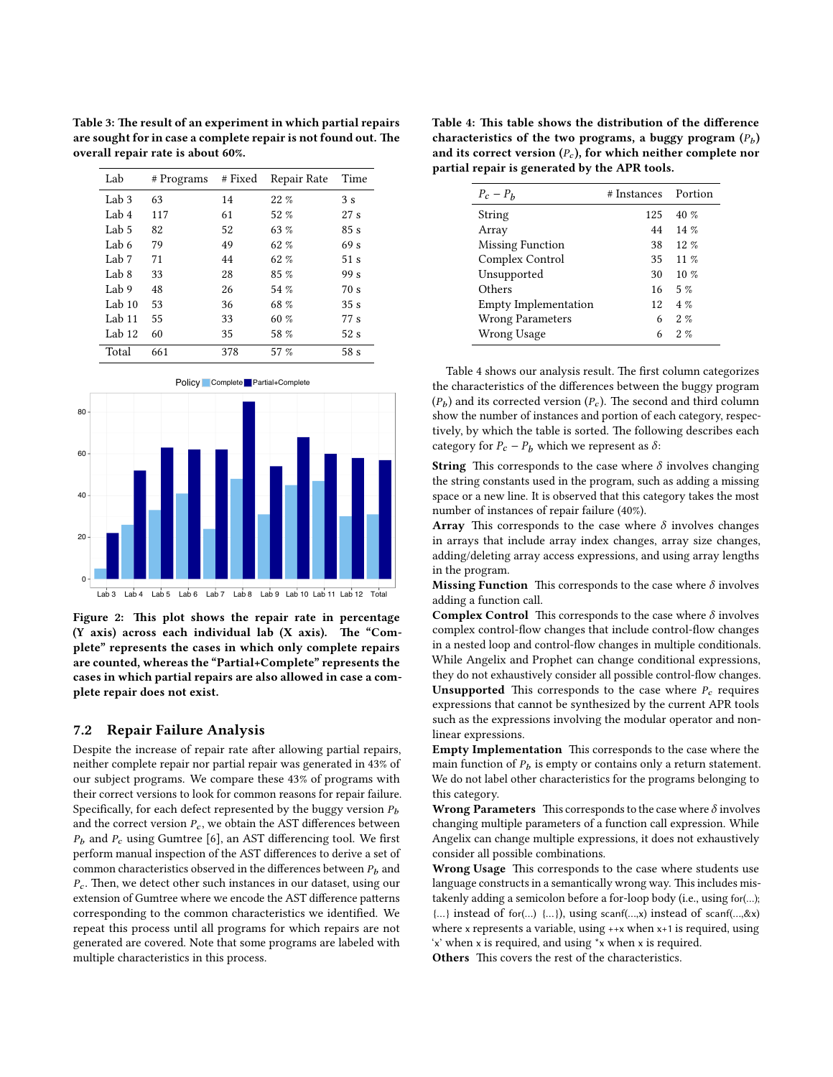<span id="page-6-0"></span>Table 3: The result of an experiment in which partial repairs are sought for in case a complete repair is not found out. The overall repair rate is about 60%.

| Lab              | # Programs | # Fixed | Repair Rate | Time            |
|------------------|------------|---------|-------------|-----------------|
| Lab <sub>3</sub> | 63         | 14      | $22\%$      | 3s              |
| Lab 4            | 117        | 61      | 52 %        | 27s             |
| Lab 5            | 82         | 52      | 63 %        | 85s             |
| Lab 6            | 79         | 49      | 62%         | 69 <sub>s</sub> |
| Lab 7            | 71         | 44      | 62%         | 51 <sub>s</sub> |
| Lab <sub>8</sub> | 33         | 28      | $85 \%$     | 99 s            |
| Lab 9            | 48         | 26      | 54 %        | 70s             |
| Lab $10$         | 53         | 36      | 68 %        | 35s             |
| Lab $11$         | 55         | 33      | 60 %        | 77 s            |
| Lab $12$         | 60         | 35      | 58 %        | 52s             |
| Total            | 661        | 378     | 57 %        | 58 <sub>s</sub> |

<span id="page-6-1"></span>

Figure 2: This plot shows the repair rate in percentage  $(Y \text{ axis})$  across each individual lab  $(X \text{ axis})$ . The "Complete" represents the cases in which only complete repairs are counted, whereas the "Partial+Complete" represents the cases in which partial repairs are also allowed in case a complete repair does not exist.

#### <span id="page-6-3"></span>7.2 Repair Failure Analysis

Despite the increase of repair rate after allowing partial repairs, neither complete repair nor partial repair was generated in 43% of our subject programs. We compare these 43% of programs with their correct versions to look for common reasons for repair failure. Specifically, for each defect represented by the buggy version  $P_b$ and the correct version  $P_c$ , we obtain the AST differences between  $P<sub>b</sub>$  and  $P<sub>c</sub>$  using Gumtree [\[6\]](#page-10-21), an AST differencing tool. We first perform manual inspection of the AST differences to derive a set of common characteristics observed in the differences between  $P_b$  and  $P_c$ . Then, we detect other such instances in our dataset, using our extension of Gumtree where we encode the AST difference patterns corresponding to the common characteristics we identified. We repeat this process until all programs for which repairs are not generated are covered. Note that some programs are labeled with multiple characteristics in this process.

<span id="page-6-2"></span>Table 4: This table shows the distribution of the difference characteristics of the two programs, a buggy program  $(P_b)$ and its correct version  $(P_c)$ , for which neither complete nor partial repair is generated by the APR tools.

| $P_c - P_h$                 | # Instances | Portion  |
|-----------------------------|-------------|----------|
| String                      | 125         | 40%      |
| Array                       | 44          | 14%      |
| <b>Missing Function</b>     | 38          | $12. \%$ |
| Complex Control             | 35          | $11\%$   |
| Unsupported                 | 30          | $10\%$   |
| Others                      | 16          | $5\%$    |
| <b>Empty Implementation</b> | 12.         | $4\%$    |
| <b>Wrong Parameters</b>     | 6           | $2. \%$  |
| Wrong Usage                 | 6           | $2. \%$  |

Table [4](#page-6-2) shows our analysis result. The first column categorizes the characteristics of the differences between the buggy program  $(P_b)$  and its corrected version  $(P_c)$ . The second and third column show the number of instances and portion of each category, respectively, by which the table is sorted. The following describes each category for  $P_c - P_b$  which we represent as  $\delta$ :

**String** This corresponds to the case where  $\delta$  involves changing the string constants used in the program, such as adding a missing space or a new line. It is observed that this category takes the most number of instances of repair failure (40%).

Array This corresponds to the case where  $\delta$  involves changes in arrays that include array index changes, array size changes, adding/deleting array access expressions, and using array lengths in the program.

**Missing Function** This corresponds to the case where  $\delta$  involves adding a function call.

**Complex Control** This corresponds to the case where  $\delta$  involves complex control-flow changes that include control-flow changes in a nested loop and control-flow changes in multiple conditionals. While Angelix and Prophet can change conditional expressions, they do not exhaustively consider all possible control-flow changes. **Unsupported** This corresponds to the case where  $P_c$  requires expressions that cannot be synthesized by the current APR tools such as the expressions involving the modular operator and nonlinear expressions.

Empty Implementation This corresponds to the case where the main function of  $P_b$  is empty or contains only a return statement. We do not label other characteristics for the programs belonging to this category.

Wrong Parameters This corresponds to the case where  $\delta$  involves changing multiple parameters of a function call expression. While Angelix can change multiple expressions, it does not exhaustively consider all possible combinations.

Wrong Usage This corresponds to the case where students use language constructs in a semantically wrong way. This includes mistakenly adding a semicolon before a for-loop body (i.e., using for(…); {…} instead of for(…) {…}), using scanf(…,x) instead of scanf(…,&x) where x represents a variable, using ++x when x+1 is required, using 'x' when x is required, and using \*x when x is required.

Others This covers the rest of the characteristics.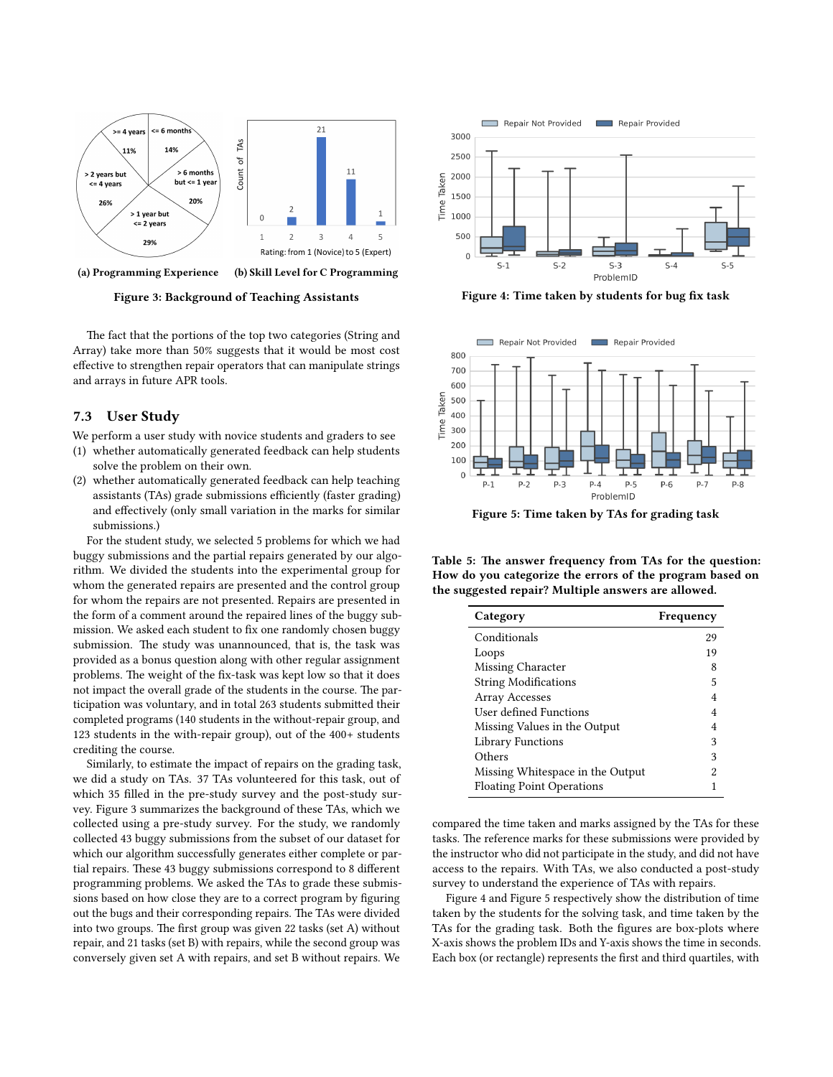<span id="page-7-0"></span>

Figure 3: Background of Teaching Assistants

The fact that the portions of the top two categories (String and Array) take more than 50% suggests that it would be most cost effective to strengthen repair operators that can manipulate strings and arrays in future APR tools.

#### <span id="page-7-4"></span>7.3 User Study

We perform a user study with novice students and graders to see

- (1) whether automatically generated feedback can help students solve the problem on their own.
- (2) whether automatically generated feedback can help teaching assistants (TAs) grade submissions efficiently (faster grading) and effectively (only small variation in the marks for similar submissions.)

For the student study, we selected 5 problems for which we had buggy submissions and the partial repairs generated by our algorithm. We divided the students into the experimental group for whom the generated repairs are presented and the control group for whom the repairs are not presented. Repairs are presented in the form of a comment around the repaired lines of the buggy submission. We asked each student to fix one randomly chosen buggy submission. The study was unannounced, that is, the task was provided as a bonus question along with other regular assignment problems. The weight of the fix-task was kept low so that it does not impact the overall grade of the students in the course. The participation was voluntary, and in total 263 students submitted their completed programs (140 students in the without-repair group, and 123 students in the with-repair group), out of the 400+ students crediting the course.

Similarly, to estimate the impact of repairs on the grading task, we did a study on TAs. 37 TAs volunteered for this task, out of which 35 filled in the pre-study survey and the post-study survey. Figure [3](#page-7-0) summarizes the background of these TAs, which we collected using a pre-study survey. For the study, we randomly collected 43 buggy submissions from the subset of our dataset for which our algorithm successfully generates either complete or partial repairs. These 43 buggy submissions correspond to 8 different programming problems. We asked the TAs to grade these submissions based on how close they are to a correct program by figuring out the bugs and their corresponding repairs. The TAs were divided into two groups. The first group was given 22 tasks (set A) without repair, and 21 tasks (set B) with repairs, while the second group was conversely given set A with repairs, and set B without repairs. We

<span id="page-7-1"></span>

Figure 4: Time taken by students for bug fix task

<span id="page-7-2"></span>

Figure 5: Time taken by TAs for grading task

<span id="page-7-3"></span>Table 5: The answer frequency from TAs for the question: How do you categorize the errors of the program based on the suggested repair? Multiple answers are allowed.

| Category                         | Frequency |
|----------------------------------|-----------|
| Conditionals                     | 29        |
| Loops                            | 19        |
| Missing Character                | 8         |
| <b>String Modifications</b>      | 5         |
| Array Accesses                   | 4         |
| User defined Functions           | 4         |
| Missing Values in the Output     | 4         |
| Library Functions                | 3         |
| Others                           | 3         |
| Missing Whitespace in the Output | 2         |
| <b>Floating Point Operations</b> |           |

compared the time taken and marks assigned by the TAs for these tasks. The reference marks for these submissions were provided by the instructor who did not participate in the study, and did not have access to the repairs. With TAs, we also conducted a post-study survey to understand the experience of TAs with repairs.

Figure [4](#page-7-1) and Figure [5](#page-7-2) respectively show the distribution of time taken by the students for the solving task, and time taken by the TAs for the grading task. Both the figures are box-plots where X-axis shows the problem IDs and Y-axis shows the time in seconds. Each box (or rectangle) represents the first and third quartiles, with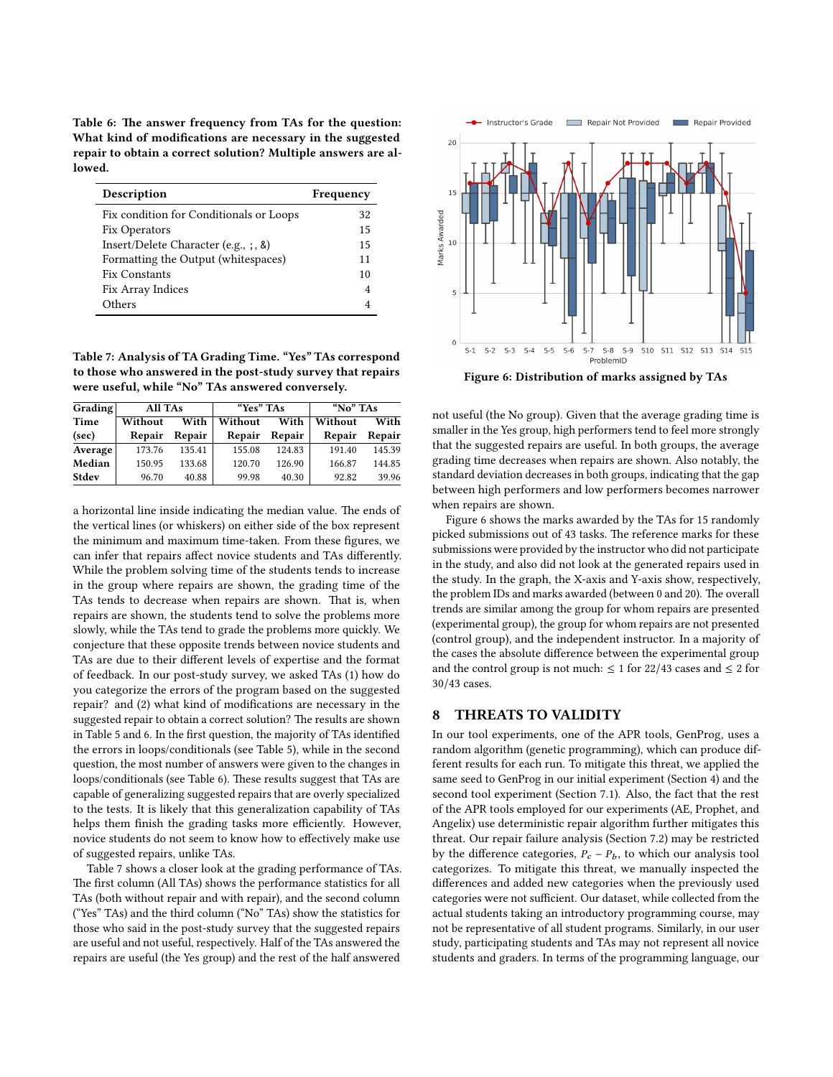<span id="page-8-0"></span>Table 6: The answer frequency from TAs for the question: What kind of modifications are necessary in the suggested repair to obtain a correct solution? Multiple answers are allowed.

| Description                                 | Frequency |  |
|---------------------------------------------|-----------|--|
| Fix condition for Conditionals or Loops     | 32        |  |
| Fix Operators                               | 15        |  |
| Insert/Delete Character (e.g., $\zeta$ , &) | 15        |  |
| Formatting the Output (whitespaces)         | 11        |  |
| <b>Fix Constants</b>                        | 10        |  |
| Fix Array Indices                           | 4         |  |
| Others                                      |           |  |

<span id="page-8-1"></span>Table 7: Analysis of TA Grading Time. "Yes" TAs correspond to those who answered in the post-study survey that repairs were useful, while "No" TAs answered conversely.

| Grading | All TAs |        | "Yes" TAs |        | "No" TAs |        |
|---------|---------|--------|-----------|--------|----------|--------|
| Time    | Without | With   | Without   | With   | Without  | With   |
| (sec)   | Repair  | Repair | Repair    | Repair | Repair   | Repair |
| Average | 173.76  | 135.41 | 155.08    | 124.83 | 191.40   | 145.39 |
| Median  | 150.95  | 133.68 | 120.70    | 126.90 | 166.87   | 144.85 |
| Stdev   | 96.70   | 40.88  | 99.98     | 40.30  | 92.82    | 39 96  |

a horizontal line inside indicating the median value. The ends of the vertical lines (or whiskers) on either side of the box represent the minimum and maximum time-taken. From these figures, we can infer that repairs affect novice students and TAs differently. While the problem solving time of the students tends to increase in the group where repairs are shown, the grading time of the TAs tends to decrease when repairs are shown. That is, when repairs are shown, the students tend to solve the problems more slowly, while the TAs tend to grade the problems more quickly. We conjecture that these opposite trends between novice students and TAs are due to their different levels of expertise and the format of feedback. In our post-study survey, we asked TAs (1) how do you categorize the errors of the program based on the suggested repair? and (2) what kind of modifications are necessary in the suggested repair to obtain a correct solution? The results are shown in Table [5](#page-7-3) and [6.](#page-8-0) In the first question, the majority of TAs identified the errors in loops/conditionals (see Table [5\)](#page-7-3), while in the second question, the most number of answers were given to the changes in loops/conditionals (see Table [6\)](#page-8-0). These results suggest that TAs are capable of generalizing suggested repairs that are overly specialized to the tests. It is likely that this generalization capability of TAs helps them finish the grading tasks more efficiently. However, novice students do not seem to know how to effectively make use of suggested repairs, unlike TAs.

Table [7](#page-8-1) shows a closer look at the grading performance of TAs. The first column (All TAs) shows the performance statistics for all TAs (both without repair and with repair), and the second column ("Yes" TAs) and the third column ("No" TAs) show the statistics for those who said in the post-study survey that the suggested repairs are useful and not useful, respectively. Half of the TAs answered the repairs are useful (the Yes group) and the rest of the half answered

<span id="page-8-2"></span>

Figure 6: Distribution of marks assigned by TAs

not useful (the No group). Given that the average grading time is smaller in the Yes group, high performers tend to feel more strongly that the suggested repairs are useful. In both groups, the average grading time decreases when repairs are shown. Also notably, the standard deviation decreases in both groups, indicating that the gap between high performers and low performers becomes narrower when repairs are shown.

Figure [6](#page-8-2) shows the marks awarded by the TAs for 15 randomly picked submissions out of 43 tasks. The reference marks for these submissions were provided by the instructor who did not participate in the study, and also did not look at the generated repairs used in the study. In the graph, the X-axis and Y-axis show, respectively, the problem IDs and marks awarded (between 0 and 20). The overall trends are similar among the group for whom repairs are presented (experimental group), the group for whom repairs are not presented (control group), and the independent instructor. In a majority of the cases the absolute difference between the experimental group and the control group is not much:  $\leq 1$  for 22/43 cases and  $\leq 2$  for <sup>30</sup>/43 cases.

### 8 THREATS TO VALIDITY

In our tool experiments, one of the APR tools, GenProg, uses a random algorithm (genetic programming), which can produce different results for each run. To mitigate this threat, we applied the same seed to GenProg in our initial experiment (Section [4\)](#page-2-2) and the second tool experiment (Section [7.1\)](#page-5-1). Also, the fact that the rest of the APR tools employed for our experiments (AE, Prophet, and Angelix) use deterministic repair algorithm further mitigates this threat. Our repair failure analysis (Section [7.2\)](#page-6-3) may be restricted by the difference categories,  $P_c - P_b$ , to which our analysis tool categorizes. To mitigate this threat, we manually inspected the differences and added new categories when the previously used categories were not sufficient. Our dataset, while collected from the actual students taking an introductory programming course, may not be representative of all student programs. Similarly, in our user study, participating students and TAs may not represent all novice students and graders. In terms of the programming language, our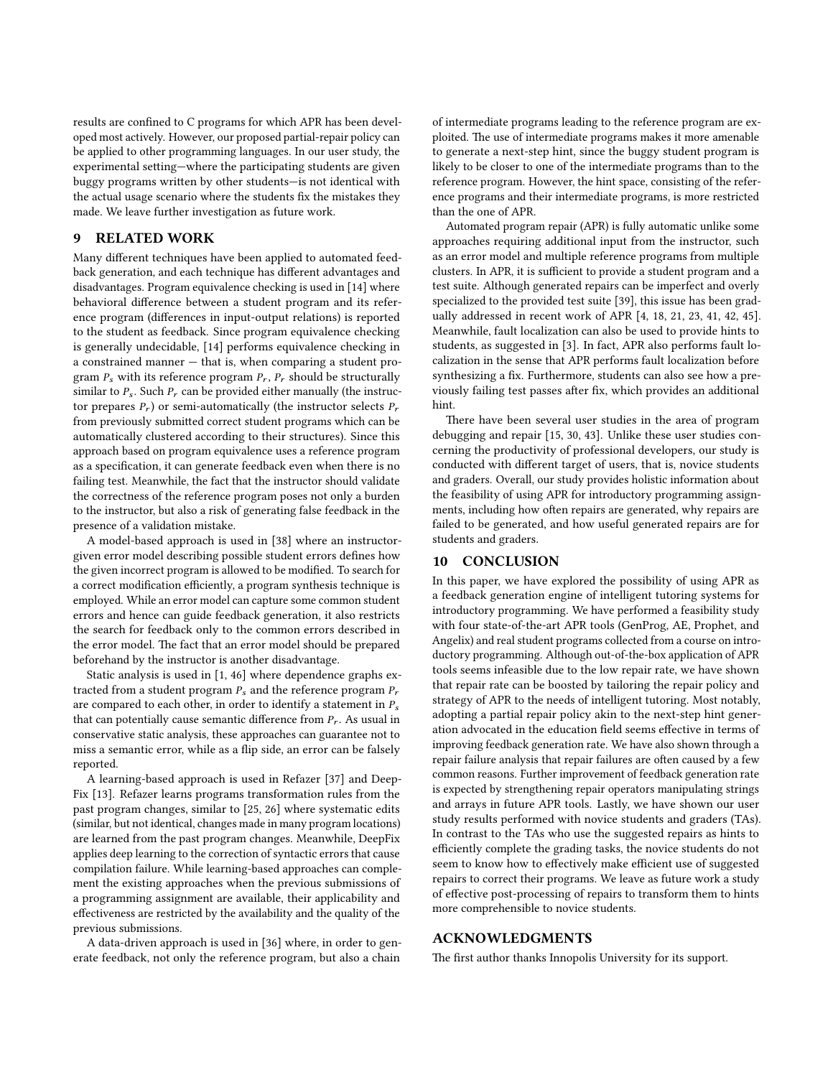results are confined to C programs for which APR has been developed most actively. However, our proposed partial-repair policy can be applied to other programming languages. In our user study, the experimental setting—where the participating students are given buggy programs written by other students—is not identical with the actual usage scenario where the students fix the mistakes they made. We leave further investigation as future work.

# 9 RELATED WORK

Many different techniques have been applied to automated feedback generation, and each technique has different advantages and disadvantages. Program equivalence checking is used in [\[14\]](#page-10-4) where behavioral difference between a student program and its reference program (differences in input-output relations) is reported to the student as feedback. Since program equivalence checking is generally undecidable, [\[14\]](#page-10-4) performs equivalence checking in a constrained manner — that is, when comparing a student program  $P_s$  with its reference program  $P_r$ ,  $P_r$  should be structurally similar to  $P_s$ . Such  $P_r$  can be provided either manually (the instructor prepares  $P_r$ ) or semi-automatically (the instructor selects  $P_r$ from previously submitted correct student programs which can be automatically clustered according to their structures). Since this approach based on program equivalence uses a reference program as a specification, it can generate feedback even when there is no failing test. Meanwhile, the fact that the instructor should validate the correctness of the reference program poses not only a burden to the instructor, but also a risk of generating false feedback in the presence of a validation mistake.

A model-based approach is used in [\[38\]](#page-11-2) where an instructorgiven error model describing possible student errors defines how the given incorrect program is allowed to be modified. To search for a correct modification efficiently, a program synthesis technique is employed. While an error model can capture some common student errors and hence can guide feedback generation, it also restricts the search for feedback only to the common errors described in the error model. The fact that an error model should be prepared beforehand by the instructor is another disadvantage.

Static analysis is used in [\[1,](#page-10-22) [46\]](#page-11-12) where dependence graphs extracted from a student program  $P_s$  and the reference program  $P_r$ are compared to each other, in order to identify a statement in  $P_s$ that can potentially cause semantic difference from  $P_r$ . As usual in conservative static analysis, these approaches can guarantee not to miss a semantic error, while as a flip side, an error can be falsely reported.

A learning-based approach is used in Refazer [\[37\]](#page-11-1) and Deep-Fix [\[13\]](#page-10-23). Refazer learns programs transformation rules from the past program changes, similar to [\[25,](#page-10-24) [26\]](#page-10-25) where systematic edits (similar, but not identical, changes made in many program locations) are learned from the past program changes. Meanwhile, DeepFix applies deep learning to the correction of syntactic errors that cause compilation failure. While learning-based approaches can complement the existing approaches when the previous submissions of a programming assignment are available, their applicability and effectiveness are restricted by the availability and the quality of the previous submissions.

A data-driven approach is used in [\[36\]](#page-11-10) where, in order to generate feedback, not only the reference program, but also a chain

of intermediate programs leading to the reference program are exploited. The use of intermediate programs makes it more amenable to generate a next-step hint, since the buggy student program is likely to be closer to one of the intermediate programs than to the reference program. However, the hint space, consisting of the reference programs and their intermediate programs, is more restricted than the one of APR.

Automated program repair (APR) is fully automatic unlike some approaches requiring additional input from the instructor, such as an error model and multiple reference programs from multiple clusters. In APR, it is sufficient to provide a student program and a test suite. Although generated repairs can be imperfect and overly specialized to the provided test suite [\[39\]](#page-11-11), this issue has been gradually addressed in recent work of APR [\[4,](#page-10-26) [18,](#page-10-27) [21,](#page-10-9) [23,](#page-10-10) [41,](#page-11-13) [42,](#page-11-14) [45\]](#page-11-15). Meanwhile, fault localization can also be used to provide hints to students, as suggested in [\[3\]](#page-10-28). In fact, APR also performs fault localization in the sense that APR performs fault localization before synthesizing a fix. Furthermore, students can also see how a previously failing test passes after fix, which provides an additional hint.

There have been several user studies in the area of program debugging and repair [\[15,](#page-10-29) [30,](#page-10-30) [43\]](#page-11-16). Unlike these user studies concerning the productivity of professional developers, our study is conducted with different target of users, that is, novice students and graders. Overall, our study provides holistic information about the feasibility of using APR for introductory programming assignments, including how often repairs are generated, why repairs are failed to be generated, and how useful generated repairs are for students and graders.

## 10 CONCLUSION

In this paper, we have explored the possibility of using APR as a feedback generation engine of intelligent tutoring systems for introductory programming. We have performed a feasibility study with four state-of-the-art APR tools (GenProg, AE, Prophet, and Angelix) and real student programs collected from a course on introductory programming. Although out-of-the-box application of APR tools seems infeasible due to the low repair rate, we have shown that repair rate can be boosted by tailoring the repair policy and strategy of APR to the needs of intelligent tutoring. Most notably, adopting a partial repair policy akin to the next-step hint generation advocated in the education field seems effective in terms of improving feedback generation rate. We have also shown through a repair failure analysis that repair failures are often caused by a few common reasons. Further improvement of feedback generation rate is expected by strengthening repair operators manipulating strings and arrays in future APR tools. Lastly, we have shown our user study results performed with novice students and graders (TAs). In contrast to the TAs who use the suggested repairs as hints to efficiently complete the grading tasks, the novice students do not seem to know how to effectively make efficient use of suggested repairs to correct their programs. We leave as future work a study of effective post-processing of repairs to transform them to hints more comprehensible to novice students.

# ACKNOWLEDGMENTS

The first author thanks Innopolis University for its support.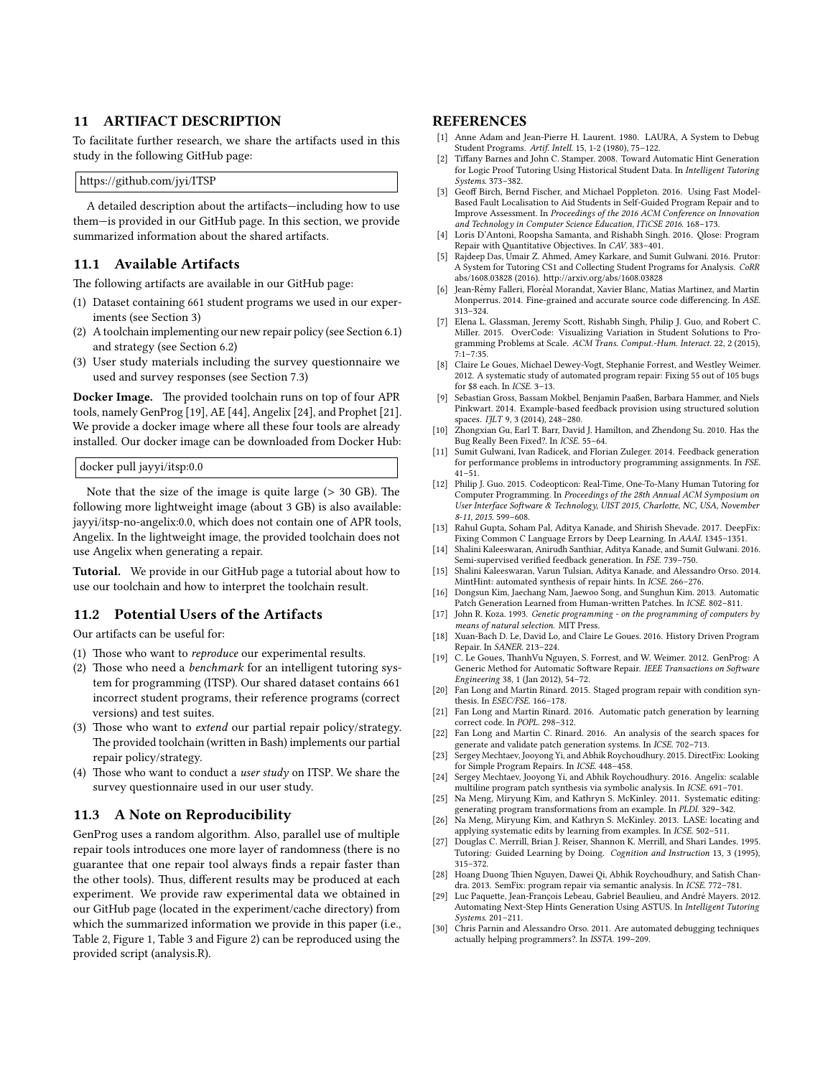#### <span id="page-10-17"></span>11 ARTIFACT DESCRIPTION

To facilitate further research, we share the artifacts used in this study in the following GitHub page:

https://github.com/jyi/ITSP

A detailed description about the artifacts—including how to use them—is provided in our GitHub page. In this section, we provide summarized information about the shared artifacts.

## 11.1 Available Artifacts

The following artifacts are available in our GitHub page:

- (1) Dataset containing 661 student programs we used in our experiments (see Section [3\)](#page-2-3)
- (2) A toolchain implementing our new repair policy (see Section [6.1\)](#page-4-0) and strategy (see Section [6.2\)](#page-4-1)
- (3) User study materials including the survey questionnaire we used and survey responses (see Section [7.3\)](#page-7-4)

Docker Image. The provided toolchain runs on top of four APR tools, namely GenProg [\[19\]](#page-10-13), AE [\[44\]](#page-11-5), Angelix [\[24\]](#page-10-11), and Prophet [\[21\]](#page-10-9). We provide a docker image where all these four tools are already installed. Our docker image can be downloaded from Docker Hub:

docker pull jayyi/itsp:0.0

Note that the size of the image is quite large  $(> 30$  GB). The following more lightweight image (about 3 GB) is also available: jayyi/itsp-no-angelix:0.0, which does not contain one of APR tools, Angelix. In the lightweight image, the provided toolchain does not use Angelix when generating a repair.

Tutorial. We provide in our GitHub page a tutorial about how to use our toolchain and how to interpret the toolchain result.

# 11.2 Potential Users of the Artifacts

Our artifacts can be useful for:

- (1) Those who want to *reproduce* our experimental results.
- (2) Those who need a *benchmark* for an intelligent tutoring system for programming (ITSP). Our shared dataset contains 661 incorrect student programs, their reference programs (correct versions) and test suites.
- (3) Those who want to *extend* our partial repair policy/strategy. The provided toolchain (written in Bash) implements our partial repair policy/strategy.
- (4) Those who want to conduct a *user study* on ITSP. We share the survey questionnaire used in our user study.

# 11.3 A Note on Reproducibility

GenProg uses a random algorithm. Also, parallel use of multiple repair tools introduces one more layer of randomness (there is no guarantee that one repair tool always finds a repair faster than the other tools). Thus, different results may be produced at each experiment. We provide raw experimental data we obtained in our GitHub page (located in the experiment/cache directory) from which the summarized information we provide in this paper (i.e., Table [2,](#page-2-1) Figure [1,](#page-3-0) Table [3](#page-6-0) and Figure [2\)](#page-6-1) can be reproduced using the provided script (analysis.R).

## REFERENCES

- <span id="page-10-22"></span>[1] Anne Adam and Jean-Pierre H. Laurent. 1980. LAURA, A System to Debug Student Programs. Artif. Intell. 15, 1-2 (1980), 75–122.
- <span id="page-10-15"></span>[2] Tiffany Barnes and John C. Stamper. 2008. Toward Automatic Hint Generation for Logic Proof Tutoring Using Historical Student Data. In Intelligent Tutoring Systems. 373–382.
- <span id="page-10-28"></span>[3] Geoff Birch, Bernd Fischer, and Michael Poppleton. 2016. Using Fast Model-Based Fault Localisation to Aid Students in Self-Guided Program Repair and to Improve Assessment. In Proceedings of the 2016 ACM Conference on Innovation and Technology in Computer Science Education, ITiCSE 2016. 168–173.
- <span id="page-10-26"></span>[4] Loris D'Antoni, Roopsha Samanta, and Rishabh Singh. 2016. Qlose: Program Repair with Quantitative Objectives. In CAV. 383-401.
- <span id="page-10-19"></span>[5] Rajdeep Das, Umair Z. Ahmed, Amey Karkare, and Sumit Gulwani. 2016. Prutor: A System for Tutoring CS1 and Collecting Student Programs for Analysis. CoRR abs/1608.03828 (2016). http://arxiv.org/abs/1608.03828
- <span id="page-10-21"></span>[6] Jean-Rémy Falleri, Floréal Morandat, Xavier Blanc, Matias Martinez, and Martin Monperrus. 2014. Fine-grained and accurate source code differencing. In ASE. 313–324.
- <span id="page-10-0"></span>[7] Elena L. Glassman, Jeremy Scott, Rishabh Singh, Philip J. Guo, and Robert C. Miller. 2015. OverCode: Visualizing Variation in Student Solutions to Programming Problems at Scale. ACM Trans. Comput.-Hum. Interact. 22, 2 (2015), 7:1–7:35.
- <span id="page-10-5"></span>[8] Claire Le Goues, Michael Dewey-Vogt, Stephanie Forrest, and Westley Weimer. 2012. A systematic study of automated program repair: Fixing 55 out of 105 bugs for \$8 each. In ICSE. 3–13.
- <span id="page-10-1"></span>[9] Sebastian Gross, Bassam Mokbel, Benjamin Paaßen, Barbara Hammer, and Niels Pinkwart. 2014. Example-based feedback provision using structured solution spaces. IJLT 9, 3 (2014), 248-280.
- <span id="page-10-6"></span>[10] Zhongxian Gu, Earl T. Barr, David J. Hamilton, and Zhendong Su. 2010. Has the Bug Really Been Fixed?. In ICSE. 55–64.
- <span id="page-10-2"></span>[11] Sumit Gulwani, Ivan Radicek, and Florian Zuleger. 2014. Feedback generation for performance problems in introductory programming assignments. In FSE. 41–51.
- <span id="page-10-3"></span>[12] Philip J. Guo. 2015. Codeopticon: Real-Time, One-To-Many Human Tutoring for Computer Programming. In Proceedings of the 28th Annual ACM Symposium on User Interface Software & Technology, UIST 2015, Charlotte, NC, USA, November 8-11, 2015. 599–608.
- <span id="page-10-23"></span>[13] Rahul Gupta, Soham Pal, Aditya Kanade, and Shirish Shevade. 2017. DeepFix: Fixing Common C Language Errors by Deep Learning. In AAAI. 1345–1351.
- <span id="page-10-4"></span>[14] Shalini Kaleeswaran, Anirudh Santhiar, Aditya Kanade, and Sumit Gulwani. 2016. Semi-supervised verified feedback generation. In FSE. 739-750.
- <span id="page-10-29"></span>[15] Shalini Kaleeswaran, Varun Tulsian, Aditya Kanade, and Alessandro Orso. 2014. MintHint: automated synthesis of repair hints. In ICSE. 266–276.
- <span id="page-10-7"></span>[16] Dongsun Kim, Jaechang Nam, Jaewoo Song, and Sunghun Kim. 2013. Automatic Patch Generation Learned from Human-written Patches. In ICSE. 802-811.
- <span id="page-10-18"></span>[17] John R. Koza. 1993. Genetic programming - on the programming of computers by means of natural selection. MIT Press.
- <span id="page-10-27"></span>[18] Xuan-Bach D. Le, David Lo, and Claire Le Goues. 2016. History Driven Program Repair. In SANER. 213–224.
- <span id="page-10-13"></span>[19] C. Le Goues, ThanhVu Nguyen, S. Forrest, and W. Weimer. 2012. GenProg: A Generic Method for Automatic Software Repair. IEEE Transactions on Software Engineering 38, 1 (Jan 2012), 54–72.
- <span id="page-10-8"></span>[20] Fan Long and Martin Rinard. 2015. Staged program repair with condition synthesis. In ESEC/FSE. 166–178.
- <span id="page-10-9"></span>[21] Fan Long and Martin Rinard. 2016. Automatic patch generation by learning correct code. In POPL. 298–312.
- <span id="page-10-20"></span>[22] Fan Long and Martin C. Rinard. 2016. An analysis of the search spaces for generate and validate patch generation systems. In ICSE. 702–713.
- <span id="page-10-10"></span>[23] Sergey Mechtaev, Jooyong Yi, and Abhik Roychoudhury. 2015. DirectFix: Looking for Simple Program Repairs. In ICSE. 448–458.
- <span id="page-10-11"></span>[24] Sergey Mechtaev, Jooyong Yi, and Abhik Roychoudhury. 2016. Angelix: scalable multiline program patch synthesis via symbolic analysis. In ICSE. 691–701.
- <span id="page-10-24"></span>[25] Na Meng, Miryung Kim, and Kathryn S. McKinley. 2011. Systematic editing: generating program transformations from an example. In PLDI. 329–342.
- <span id="page-10-25"></span>[26] Na Meng, Miryung Kim, and Kathryn S. McKinley. 2013. LASE: locating and applying systematic edits by learning from examples. In ICSE. 502–511.
- <span id="page-10-14"></span>[27] Douglas C. Merrill, Brian J. Reiser, Shannon K. Merrill, and Shari Landes. 1995. Tutoring: Guided Learning by Doing. Cognition and Instruction 13, 3 (1995), 315–372.
- <span id="page-10-12"></span>[28] Hoang Duong Thien Nguyen, Dawei Qi, Abhik Roychoudhury, and Satish Chandra. 2013. SemFix: program repair via semantic analysis. In ICSE. 772–781.
- <span id="page-10-16"></span>[29] Luc Paquette, Jean-François Lebeau, Gabriel Beaulieu, and André Mayers. 2012. Automating Next-Step Hints Generation Using ASTUS. In Intelligent Tutoring Systems. 201–211.
- <span id="page-10-30"></span>[30] Chris Parnin and Alessandro Orso. 2011. Are automated debugging techniques actually helping programmers?. In ISSTA. 199–209.